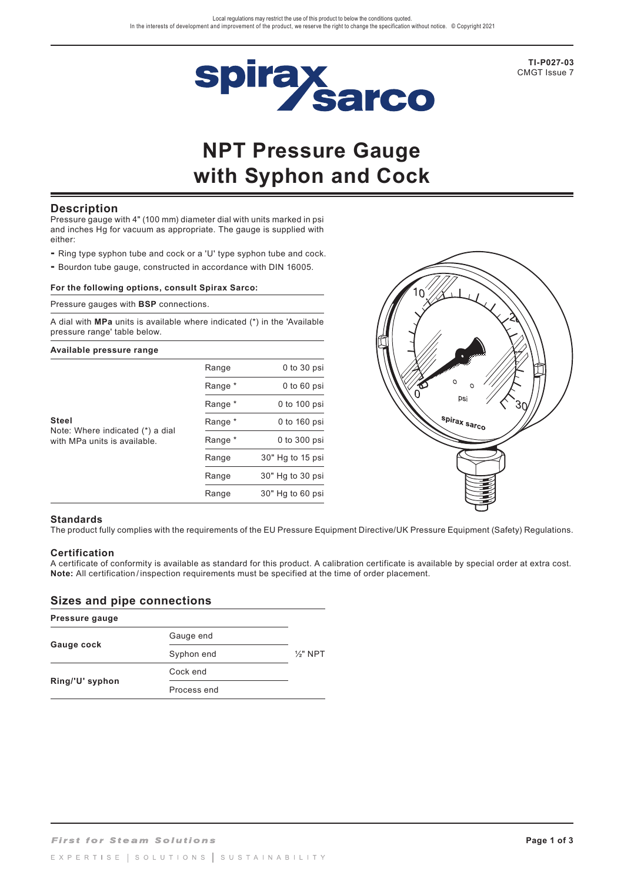

**TI-P027-03** CMGT Issue 7

# **NPT Pressure Gauge with Syphon and Cock**

### **Description**

Pressure gauge with 4" (100 mm) diameter dial with units marked in psi and inches Hg for vacuum as appropriate. The gauge is supplied with either:

- Ring type syphon tube and cock or a 'U' type syphon tube and cock.
- Bourdon tube gauge, constructed in accordance with DIN 16005.

#### **For the following options, consult Spirax Sarco:**

Pressure gauges with **BSP** connections.

A dial with **MPa** units is available where indicated (\*) in the 'Available pressure range' table below.

# **Available pressure range**

|                                                                                  | Range   | $0$ to $30$ psi  |
|----------------------------------------------------------------------------------|---------|------------------|
|                                                                                  | Range * | $0$ to $60$ psi  |
|                                                                                  | Range * | 0 to 100 psi     |
| <b>Steel</b><br>Note: Where indicated (*) a dial<br>with MPa units is available. | Range * | 0 to 160 psi     |
|                                                                                  | Range * | 0 to 300 psi     |
|                                                                                  | Range   | 30" Hg to 15 psi |
|                                                                                  | Range   | 30" Hg to 30 psi |
|                                                                                  | Range   | 30" Hg to 60 psi |



#### **Standards**

The product fully complies with the requirements of the EU Pressure Equipment Directive/UK Pressure Equipment (Safety) Regulations.

### **Certification**

A certificate of conformity is available as standard for this product. A calibration certificate is available by special order at extra cost. **Note:** All certification / inspection requirements must be specified at the time of order placement.

### **Sizes and pipe connections**

| Pressure gauge  |             |                     |
|-----------------|-------------|---------------------|
|                 | Gauge end   |                     |
| Gauge cock      | Syphon end  | $\frac{1}{2}$ " NPT |
|                 | Cock end    |                     |
| Ring/'U' syphon | Process end |                     |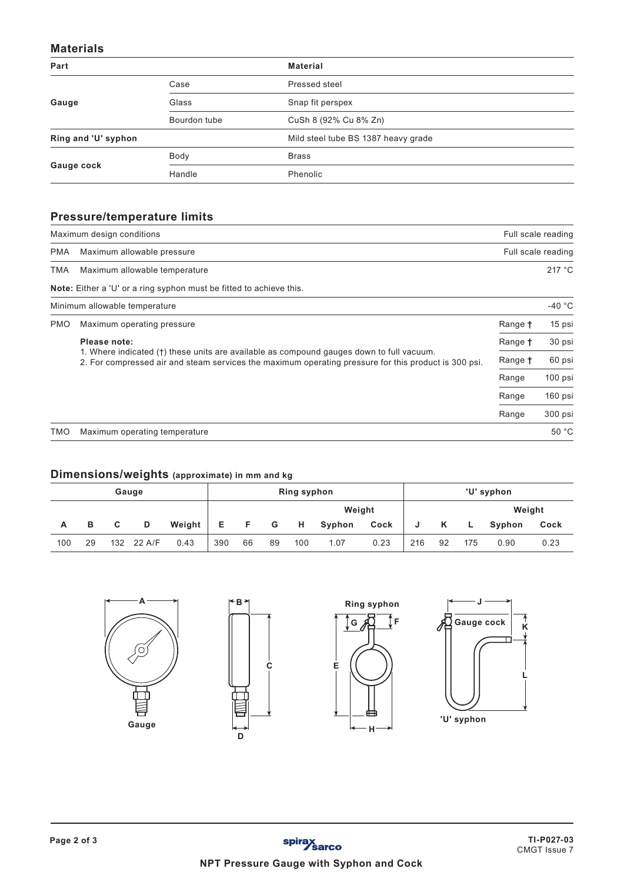### **Materials**

| Part                |              | <b>Material</b>                     |
|---------------------|--------------|-------------------------------------|
|                     | Case         | Pressed steel                       |
| Gauge               | Glass        | Snap fit perspex                    |
|                     | Bourdon tube | CuSh 8 (92% Cu 8% Zn)               |
| Ring and 'U' syphon |              | Mild steel tube BS 1387 heavy grade |
|                     | Body         | <b>Brass</b>                        |
| Gauge cock          | Handle       | Phenolic                            |

# **Pressure/temperature limits**

| Maximum design conditions | Full scale reading                                                                                                                                                                               |                |          |  |  |  |  |  |
|---------------------------|--------------------------------------------------------------------------------------------------------------------------------------------------------------------------------------------------|----------------|----------|--|--|--|--|--|
| <b>PMA</b>                | Maximum allowable pressure                                                                                                                                                                       |                |          |  |  |  |  |  |
| TMA                       | Maximum allowable temperature                                                                                                                                                                    |                |          |  |  |  |  |  |
|                           | <b>Note:</b> Either a 'U' or a ring syphon must be fitted to achieve this.                                                                                                                       |                |          |  |  |  |  |  |
|                           | Minimum allowable temperature                                                                                                                                                                    |                | $-40 °C$ |  |  |  |  |  |
| <b>PMO</b>                | Maximum operating pressure                                                                                                                                                                       | Range <b>t</b> | 15 psi   |  |  |  |  |  |
|                           | Please note:                                                                                                                                                                                     | Range <b>t</b> | 30 psi   |  |  |  |  |  |
|                           | 1. Where indicated (†) these units are available as compound gauges down to full vacuum.<br>2. For compressed air and steam services the maximum operating pressure for this product is 300 psi. | Range †        | 60 psi   |  |  |  |  |  |
|                           |                                                                                                                                                                                                  | Range          | 100 psi  |  |  |  |  |  |
|                           |                                                                                                                                                                                                  | Range          | 160 psi  |  |  |  |  |  |
|                           |                                                                                                                                                                                                  | Range          | 300 psi  |  |  |  |  |  |
| TMO                       | Maximum operating temperature                                                                                                                                                                    |                | 50 °C    |  |  |  |  |  |

# **Dimensions/weights (approximate) in mm and kg**

|     |    |     | Gauge  |        | <b>Ring syphon</b> |        |    |     |        |      | 'U' syphon |    |        |        |      |
|-----|----|-----|--------|--------|--------------------|--------|----|-----|--------|------|------------|----|--------|--------|------|
|     |    |     |        |        |                    | Weight |    |     |        |      |            |    | Weight |        |      |
| Α   | в  | C.  | D      | Weight | E                  | F      | G  | - H | Syphon | Cock | J          | K  | L.     | Syphon | Cock |
| 100 | 29 | 132 | 22 A/F | 0.43   | 390                | 66     | 89 | 100 | 1.07   | 0.23 | 216        | 92 | 175    | 0.90   | 0.23 |